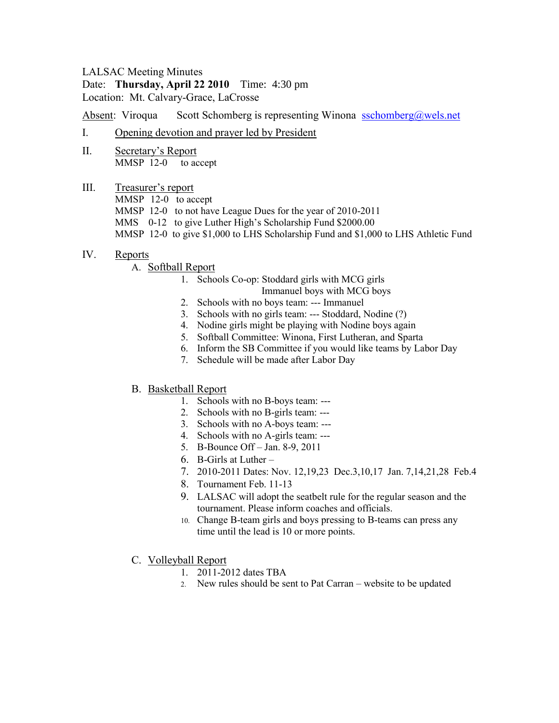### LALSAC Meeting Minutes

### Date: **Thursday, April 22 2010** Time: 4:30 pm Location: Mt. Calvary-Grace, LaCrosse

Absent: Viroqua Scott Schomberg is representing Winona [sschomberg@wels.net](mailto:sschomberg@wels.net)

- I. Opening devotion and prayer led by President
- II. Secretary's Report MMSP 12-0 to accept
- III. Treasurer's report MMSP 12-0 to accept MMSP 12-0 to not have League Dues for the year of 2010-2011 MMS 0-12 to give Luther High's Scholarship Fund \$2000.00 MMSP 12-0 to give \$1,000 to LHS Scholarship Fund and \$1,000 to LHS Athletic Fund

# IV. Reports

# A. Softball Report

1. Schools Co-op: Stoddard girls with MCG girls

Immanuel boys with MCG boys

- 2. Schools with no boys team: --- Immanuel
- 3. Schools with no girls team: --- Stoddard, Nodine (?)
- 4. Nodine girls might be playing with Nodine boys again
- 5. Softball Committee: Winona, First Lutheran, and Sparta
- 6. Inform the SB Committee if you would like teams by Labor Day
- 7. Schedule will be made after Labor Day

# B. Basketball Report

- 1. Schools with no B-boys team: ---
- 2. Schools with no B-girls team: ---
- 3. Schools with no A-boys team: ---
- 4. Schools with no A-girls team: ---
- 5. B-Bounce Off Jan. 8-9, 2011
- 6. B-Girls at Luther –
- 7. 2010-2011 Dates: Nov. 12,19,23 Dec.3,10,17 Jan. 7,14,21,28 Feb.4
- 8. Tournament Feb. 11-13
- 9. LALSAC will adopt the seatbelt rule for the regular season and the tournament. Please inform coaches and officials.
- 10. Change B-team girls and boys pressing to B-teams can press any time until the lead is 10 or more points.
- C. Volleyball Report
	- 1. 2011-2012 dates TBA
	- 2. New rules should be sent to Pat Carran website to be updated